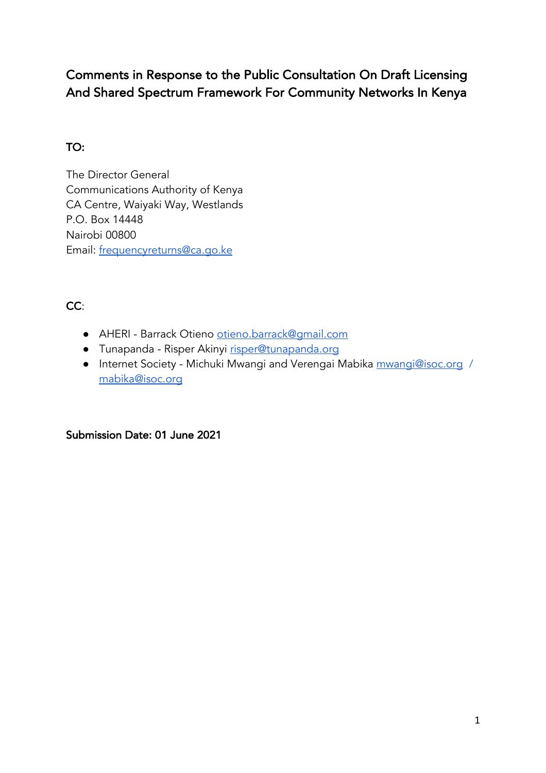# Comments in Response to the Public Consultation On Draft Licensing And Shared Spectrum Framework For Community Networks In Kenya

# TO:

The Director General Communications Authority of Kenya CA Centre, Waiyaki Way, Westlands P.O. Box 14448 Nairobi 00800 Email: frequencyreturns@ca.go.ke

# CC:

- AHERI Barrack Otieno otieno.barrack@gmail.com
- Tunapanda Risper Akinyi risper@tunapanda.org
- Internet Society Michuki Mwangi and Verengai Mabika mwangi@isoc.org / mabika@isoc.org

# Submission Date: 01 June 2021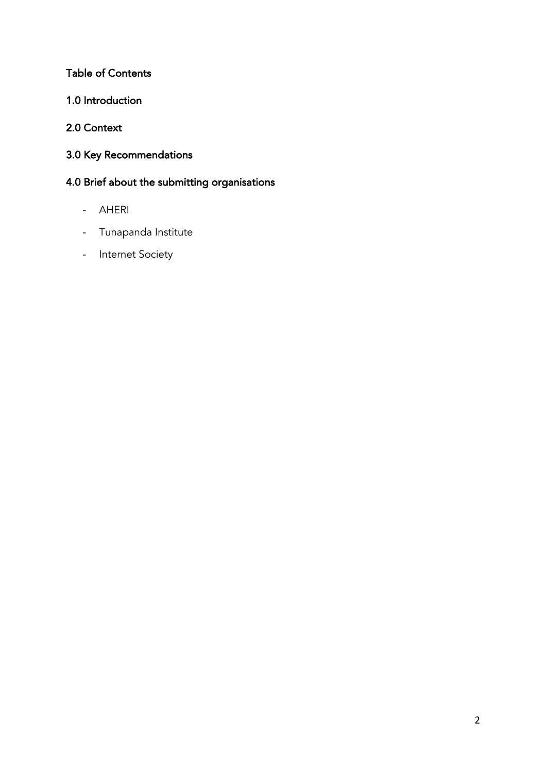# Table of Contents

1.0 Introduction

# 2.0 Context

3.0 Key Recommendations

# 4.0 Brief about the submitting organisations

- AHERI
- Tunapanda Institute
- Internet Society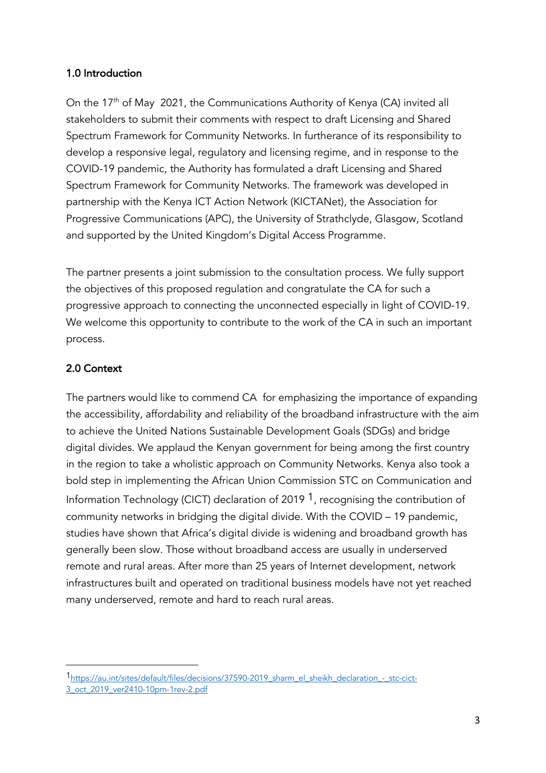### 1.0 Introduction

On the 17<sup>th</sup> of May 2021, the Communications Authority of Kenya (CA) invited all stakeholders to submit their comments with respect to draft Licensing and Shared Spectrum Framework for Community Networks. In furtherance of its responsibility to develop a responsive legal, regulatory and licensing regime, and in response to the COVID-19 pandemic, the Authority has formulated a draft Licensing and Shared Spectrum Framework for Community Networks. The framework was developed in partnership with the Kenya ICT Action Network (KICTANet), the Association for Progressive Communications (APC), the University of Strathclyde, Glasgow, Scotland and supported by the United Kingdom's Digital Access Programme.

The partner presents a joint submission to the consultation process. We fully support the objectives of this proposed regulation and congratulate the CA for such a progressive approach to connecting the unconnected especially in light of COVID-19. We welcome this opportunity to contribute to the work of the CA in such an important process.

### 2.0 Context

The partners would like to commend CA for emphasizing the importance of expanding the accessibility, affordability and reliability of the broadband infrastructure with the aim to achieve the United Nations Sustainable Development Goals (SDGs) and bridge digital divides. We applaud the Kenyan government for being among the first country in the region to take a wholistic approach on Community Networks. Kenya also took a bold step in implementing the African Union Commission STC on Communication and Information Technology (CICT) declaration of 2019  $<sup>1</sup>$ , recognising the contribution of</sup> community networks in bridging the digital divide. With the COVID – 19 pandemic, studies have shown that Africa's digital divide is widening and broadband growth has generally been slow. Those without broadband access are usually in underserved remote and rural areas. After more than 25 years of Internet development, network infrastructures built and operated on traditional business models have not yet reached many underserved, remote and hard to reach rural areas.

<sup>1</sup>https://au.int/sites/default/files/decisions/37590-2019\_sharm\_el\_sheikh\_declaration\_-\_stc-cict-3\_oct\_2019\_ver2410-10pm-1rev-2.pdf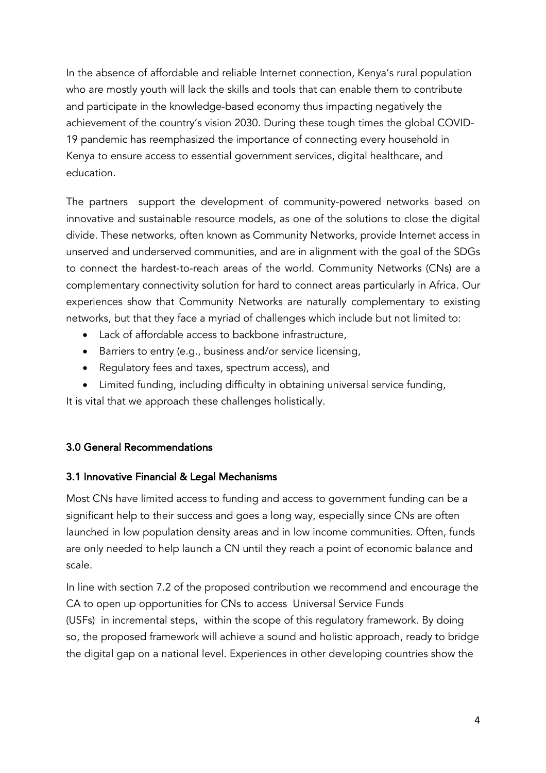In the absence of affordable and reliable Internet connection, Kenya's rural population who are mostly youth will lack the skills and tools that can enable them to contribute and participate in the knowledge-based economy thus impacting negatively the achievement of the country's vision 2030. During these tough times the global COVID-19 pandemic has reemphasized the importance of connecting every household in Kenya to ensure access to essential government services, digital healthcare, and education.

The partners support the development of community-powered networks based on innovative and sustainable resource models, as one of the solutions to close the digital divide. These networks, often known as Community Networks, provide Internet access in unserved and underserved communities, and are in alignment with the goal of the SDGs to connect the hardest-to-reach areas of the world. Community Networks (CNs) are a complementary connectivity solution for hard to connect areas particularly in Africa. Our experiences show that Community Networks are naturally complementary to existing networks, but that they face a myriad of challenges which include but not limited to:

- Lack of affordable access to backbone infrastructure.
- Barriers to entry (e.g., business and/or service licensing,
- Regulatory fees and taxes, spectrum access), and
- Limited funding, including difficulty in obtaining universal service funding,

It is vital that we approach these challenges holistically.

#### 3.0 General Recommendations

#### 3.1 Innovative Financial & Legal Mechanisms

Most CNs have limited access to funding and access to government funding can be a significant help to their success and goes a long way, especially since CNs are often launched in low population density areas and in low income communities. Often, funds are only needed to help launch a CN until they reach a point of economic balance and scale.

In line with section 7.2 of the proposed contribution we recommend and encourage the CA to open up opportunities for CNs to access Universal Service Funds (USFs) in incremental steps, within the scope of this regulatory framework. By doing so, the proposed framework will achieve a sound and holistic approach, ready to bridge the digital gap on a national level. Experiences in other developing countries show the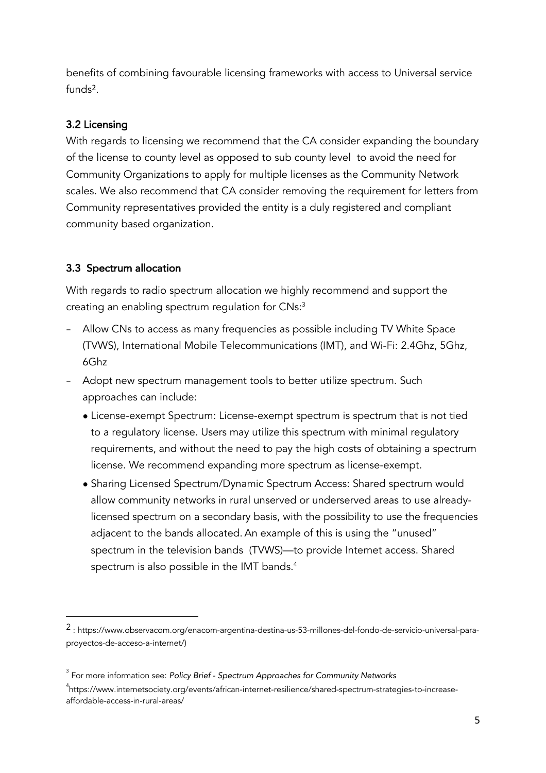benefits of combining favourable licensing frameworks with access to Universal service  $f$ unds<sup>2</sup>

# 3.2 Licensing

With regards to licensing we recommend that the CA consider expanding the boundary of the license to county level as opposed to sub county level to avoid the need for Community Organizations to apply for multiple licenses as the Community Network scales. We also recommend that CA consider removing the requirement for letters from Community representatives provided the entity is a duly registered and compliant community based organization.

# 3.3 Spectrum allocation

With regards to radio spectrum allocation we highly recommend and support the creating an enabling spectrum regulation for CNs:3

- − Allow CNs to access as many frequencies as possible including TV White Space (TVWS), International Mobile Telecommunications (IMT), and Wi-Fi: 2.4Ghz, 5Ghz, 6Ghz
- − Adopt new spectrum management tools to better utilize spectrum. Such approaches can include:
	- License-exempt Spectrum: License-exempt spectrum is spectrum that is not tied to a regulatory license. Users may utilize this spectrum with minimal regulatory requirements, and without the need to pay the high costs of obtaining a spectrum license. We recommend expanding more spectrum as license-exempt.
	- Sharing Licensed Spectrum/Dynamic Spectrum Access: Shared spectrum would allow community networks in rural unserved or underserved areas to use alreadylicensed spectrum on a secondary basis, with the possibility to use the frequencies adjacent to the bands allocated. An example of this is using the "unused" spectrum in the television bands (TVWS)—to provide Internet access. Shared spectrum is also possible in the IMT bands.<sup>4</sup>

<sup>2</sup> : https://www.observacom.org/enacom-argentina-destina-us-53-millones-del-fondo-de-servicio-universal-paraproyectos-de-acceso-a-internet/)

<sup>3</sup> For more information see: *Policy Brief - Spectrum Approaches for Community Networks*

<sup>4</sup> https://www.internetsociety.org/events/african-internet-resilience/shared-spectrum-strategies-to-increaseaffordable-access-in-rural-areas/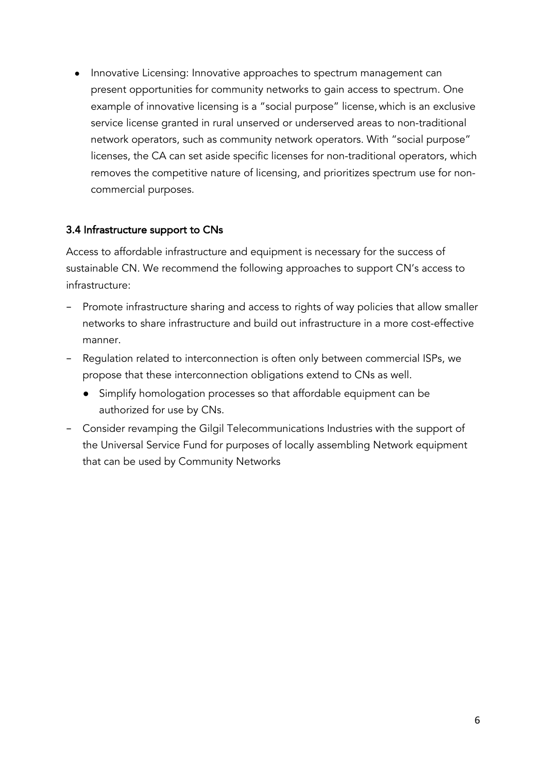Innovative Licensing: Innovative approaches to spectrum management can present opportunities for community networks to gain access to spectrum. One example of innovative licensing is a "social purpose" license, which is an exclusive service license granted in rural unserved or underserved areas to non-traditional network operators, such as community network operators. With "social purpose" licenses, the CA can set aside specific licenses for non-traditional operators, which removes the competitive nature of licensing, and prioritizes spectrum use for noncommercial purposes.

# 3.4 Infrastructure support to CNs

Access to affordable infrastructure and equipment is necessary for the success of sustainable CN. We recommend the following approaches to support CN's access to infrastructure:

- − Promote infrastructure sharing and access to rights of way policies that allow smaller networks to share infrastructure and build out infrastructure in a more cost-effective manner.
- − Regulation related to interconnection is often only between commercial ISPs, we propose that these interconnection obligations extend to CNs as well.
	- Simplify homologation processes so that affordable equipment can be authorized for use by CNs.
- − Consider revamping the Gilgil Telecommunications Industries with the support of the Universal Service Fund for purposes of locally assembling Network equipment that can be used by Community Networks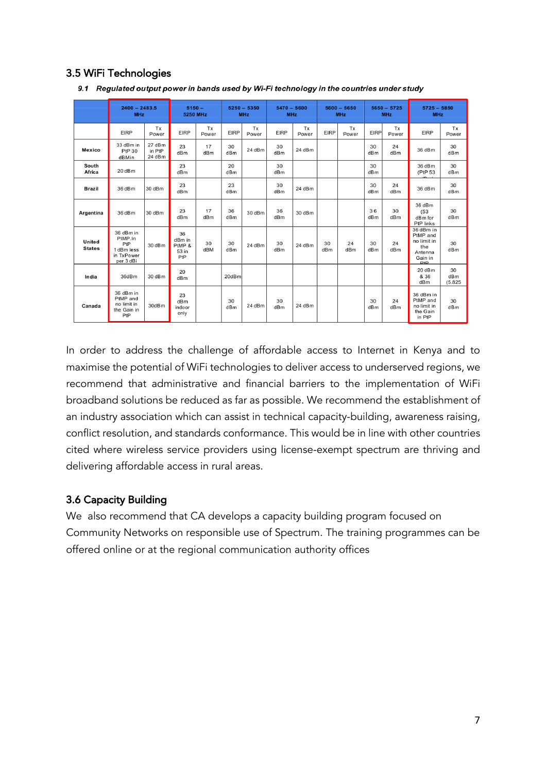# 3.5 WiFi Technologies

|                         | $2400 - 2483.5$<br><b>MHz</b>                                        |                            | $5150 -$<br>5250 MHz                   |             | $5250 - 5350$<br><b>MHz</b> |             | $5470 - 5600$<br><b>MHz</b> |             | $5600 - 5650$<br><b>MHz</b> |             | $5650 - 5725$<br><b>MHz</b> |             | $5725 - 5850$<br><b>MHz</b>                                              |                      |
|-------------------------|----------------------------------------------------------------------|----------------------------|----------------------------------------|-------------|-----------------------------|-------------|-----------------------------|-------------|-----------------------------|-------------|-----------------------------|-------------|--------------------------------------------------------------------------|----------------------|
|                         | <b>EIRP</b>                                                          | Tx<br>Power                | <b>EIRP</b>                            | Tx<br>Power | <b>EIRP</b>                 | Tx<br>Power | <b>EIRP</b>                 | Tx<br>Power | <b>EIRP</b>                 | Tx<br>Power | <b>EIRP</b>                 | Tx<br>Power | <b>EIRP</b>                                                              | Tx<br>Power          |
| Mexico                  | 33 dBm in<br>PtP 30<br>dBMin                                         | 27 dBm<br>in PtP<br>24 dBm | 23<br>dBm                              | 17<br>dBm   | 30<br>dBm                   | 24 dBm      | 30<br>dB <sub>m</sub>       | 24 dBm      |                             |             | 30<br>dBm                   | 24<br>dBm   | 36 dBm                                                                   | 30<br>dBm            |
| South<br>Africa         | 20 dBm                                                               |                            | 23<br>dBm                              |             | 20<br>dBm                   |             | 30<br>dB <sub>m</sub>       |             |                             |             | 30<br>dBm                   |             | 36 dBm<br>(PtP 53                                                        | 30<br>dBm            |
| <b>Brazil</b>           | 36 dBm                                                               | 30 dBm                     | 23<br>dBm                              |             | 23<br>dBm                   |             | 30<br>dBm                   | 24 dBm      |                             |             | 30<br>dBm                   | 24<br>dBm   | 36 dBm                                                                   | 30<br>dBm            |
| Argentina               | 36 dBm                                                               | 30 dBm                     | 23<br>dBm                              | 17<br>dBm   | 36<br>dBm                   | 30dBm       | 36<br>dB <sub>m</sub>       | 30 dBm      |                             |             | 36<br>dBm                   | 30<br>dBm   | 36 dBm<br>(53)<br>dBm for<br>PtP links                                   | 30<br>dBm            |
| United<br><b>States</b> | 36 dBm in<br>PtMP.In<br>PtP<br>1 dBm less<br>in TxPower<br>per 3 dBi | 30dBm                      | 36<br>dBm in<br>PtMP &<br>53 in<br>PtP | 30<br>dBM   | 30<br>dBm                   | 24dBm       | 30<br>dBm                   | 24 dBm      | 30<br>dBm                   | 24<br>dBm   | 30<br>dBm                   | 24<br>dBm   | 36 dBm in<br>PtMP and<br>no limit in<br>the<br>Antenna<br>Gain in<br>D+D | 30<br>dBm            |
| India                   | 36dBm                                                                | 30dBm                      | 20<br>dB <sub>m</sub>                  |             | 20dBm                       |             |                             |             |                             |             |                             |             | 20 dBm<br>& 36<br>dBm                                                    | 30<br>dBm<br>(5.825) |
| Canada                  | 36 dBm in<br>PtMP and<br>no limit in<br>the Gain in<br>PtP           | 30dBm                      | 23<br>dBm<br>indoor<br>only            |             | 30<br>dBm                   | 24 dBm      | 30<br>dBm                   | 24 dBm      |                             |             | 30<br>dBm                   | 24<br>dBm   | 36 dBm in<br>PtMP and<br>no limit in<br>the Gain<br>in PtP               | 30<br>dBm            |

9.1 Regulated output power in bands used by Wi-Fi technology in the countries under study

In order to address the challenge of affordable access to Internet in Kenya and to maximise the potential of WiFi technologies to deliver access to underserved regions, we recommend that administrative and financial barriers to the implementation of WiFi broadband solutions be reduced as far as possible. We recommend the establishment of an industry association which can assist in technical capacity-building, awareness raising, conflict resolution, and standards conformance. This would be in line with other countries cited where wireless service providers using license-exempt spectrum are thriving and delivering affordable access in rural areas.

### 3.6 Capacity Building

We also recommend that CA develops a capacity building program focused on Community Networks on responsible use of Spectrum. The training programmes can be offered online or at the regional communication authority offices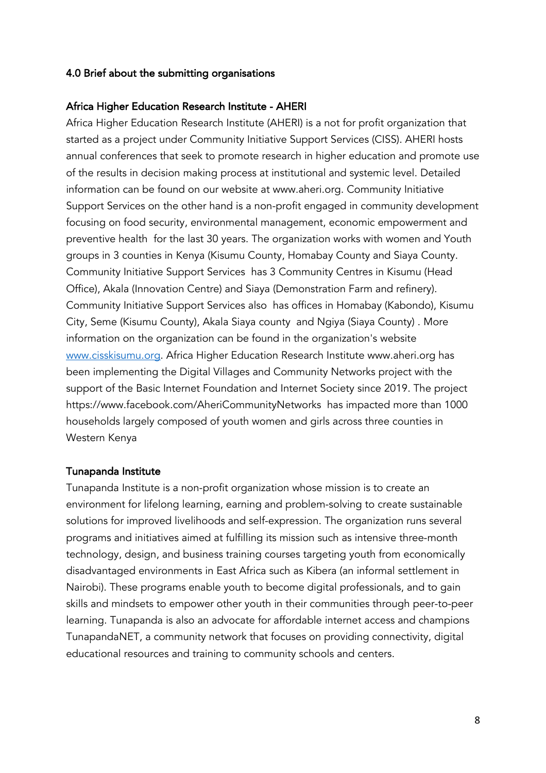#### 4.0 Brief about the submitting organisations

#### Africa Higher Education Research Institute - AHERI

Africa Higher Education Research Institute (AHERI) is a not for profit organization that started as a project under Community Initiative Support Services (CISS). AHERI hosts annual conferences that seek to promote research in higher education and promote use of the results in decision making process at institutional and systemic level. Detailed information can be found on our website at www.aheri.org. Community Initiative Support Services on the other hand is a non-profit engaged in community development focusing on food security, environmental management, economic empowerment and preventive health for the last 30 years. The organization works with women and Youth groups in 3 counties in Kenya (Kisumu County, Homabay County and Siaya County. Community Initiative Support Services has 3 Community Centres in Kisumu (Head Office), Akala (Innovation Centre) and Siaya (Demonstration Farm and refinery). Community Initiative Support Services also has offices in Homabay (Kabondo), Kisumu City, Seme (Kisumu County), Akala Siaya county and Ngiya (Siaya County) . More information on the organization can be found in the organization's website www.cisskisumu.org. Africa Higher Education Research Institute www.aheri.org has been implementing the Digital Villages and Community Networks project with the support of the Basic Internet Foundation and Internet Society since 2019. The project https://www.facebook.com/AheriCommunityNetworks has impacted more than 1000 households largely composed of youth women and girls across three counties in Western Kenya

#### Tunapanda Institute

Tunapanda Institute is a non-profit organization whose mission is to create an environment for lifelong learning, earning and problem-solving to create sustainable solutions for improved livelihoods and self-expression. The organization runs several programs and initiatives aimed at fulfilling its mission such as intensive three-month technology, design, and business training courses targeting youth from economically disadvantaged environments in East Africa such as Kibera (an informal settlement in Nairobi). These programs enable youth to become digital professionals, and to gain skills and mindsets to empower other youth in their communities through peer-to-peer learning. Tunapanda is also an advocate for affordable internet access and champions TunapandaNET, a community network that focuses on providing connectivity, digital educational resources and training to community schools and centers.